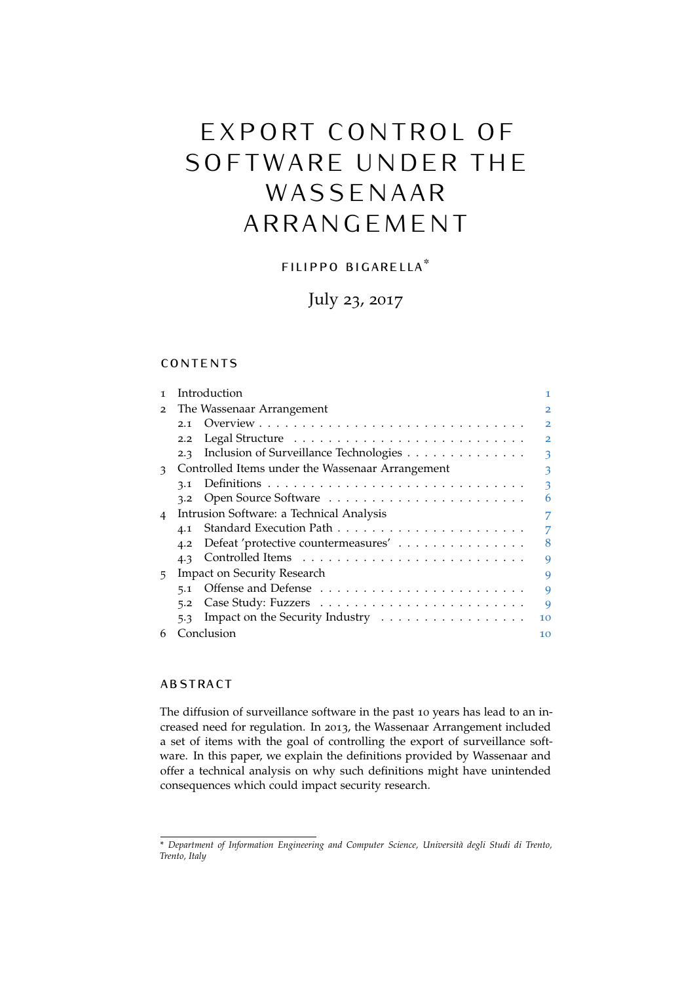# EXPORT CONTROL OF SOFTWARE UNDER THE WASSENAAR A R R A N G E M E N T

# filippo bigarella\*

# July 23, 2017

# **CONTENTS**

| 1              | Introduction                                                                 |                         |
|----------------|------------------------------------------------------------------------------|-------------------------|
| $\overline{2}$ | The Wassenaar Arrangement                                                    | $\overline{\mathbf{2}}$ |
|                | 2.1                                                                          | $\overline{2}$          |
|                | 2.2                                                                          | $\overline{2}$          |
|                | Inclusion of Surveillance Technologies<br>2.3                                | 3                       |
| 3              | Controlled Items under the Wassenaar Arrangement                             | 3                       |
|                | 3.1                                                                          | 3                       |
|                | 3.2                                                                          | 6                       |
| $\overline{4}$ | Intrusion Software: a Technical Analysis                                     | 7                       |
|                | 4.1                                                                          | 7                       |
|                | Defeat 'protective countermeasures'<br>4.2                                   | 8                       |
|                | 4.3                                                                          | 9                       |
| 5.             | Impact on Security Research                                                  | 9                       |
|                | 5.1                                                                          | 9                       |
|                | 5.2                                                                          | 9                       |
|                | Impact on the Security Industry $\dots \dots \dots \dots \dots \dots$<br>5.3 | 10                      |
| 6              | Conclusion                                                                   | 10                      |

# **ABSTRACT**

The diffusion of surveillance software in the past 10 years has lead to an increased need for regulation. In 2013, the Wassenaar Arrangement included a set of items with the goal of controlling the export of surveillance software. In this paper, we explain the definitions provided by Wassenaar and offer a technical analysis on why such definitions might have unintended consequences which could impact security research.

<sup>\*</sup> *Department of Information Engineering and Computer Science, Università degli Studi di Trento, Trento, Italy*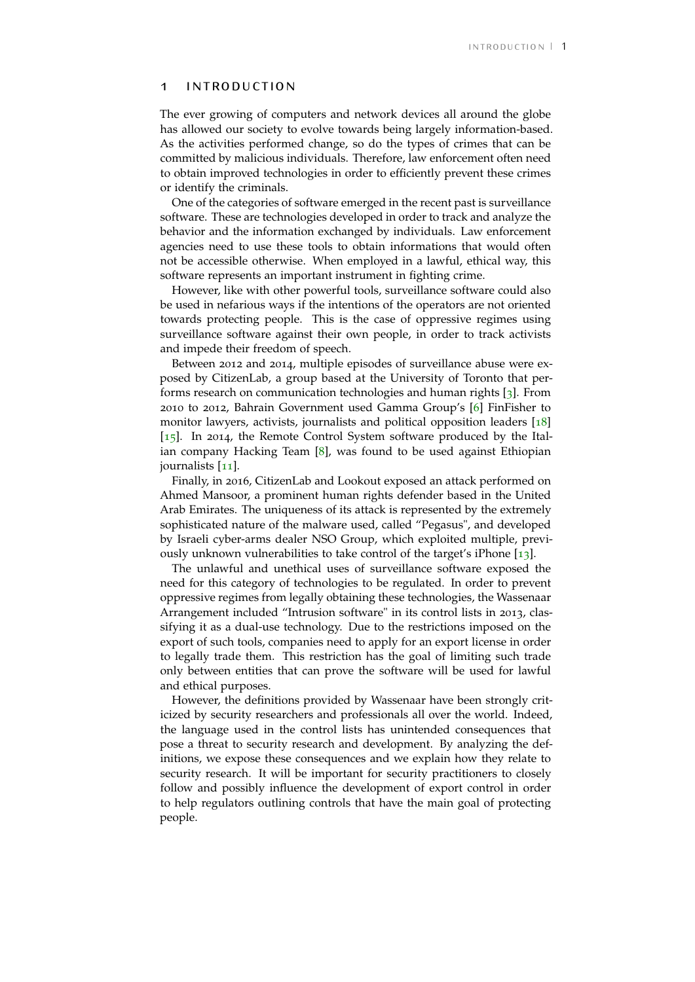#### <span id="page-1-0"></span>1 introduction

The ever growing of computers and network devices all around the globe has allowed our society to evolve towards being largely information-based. As the activities performed change, so do the types of crimes that can be committed by malicious individuals. Therefore, law enforcement often need to obtain improved technologies in order to efficiently prevent these crimes or identify the criminals.

One of the categories of software emerged in the recent past is surveillance software. These are technologies developed in order to track and analyze the behavior and the information exchanged by individuals. Law enforcement agencies need to use these tools to obtain informations that would often not be accessible otherwise. When employed in a lawful, ethical way, this software represents an important instrument in fighting crime.

However, like with other powerful tools, surveillance software could also be used in nefarious ways if the intentions of the operators are not oriented towards protecting people. This is the case of oppressive regimes using surveillance software against their own people, in order to track activists and impede their freedom of speech.

Between 2012 and 2014, multiple episodes of surveillance abuse were exposed by CitizenLab, a group based at the University of Toronto that performs research on communication technologies and human rights [[3](#page-12-0)]. From 2010 to 2012, Bahrain Government used Gamma Group's [[6](#page-12-1)] FinFisher to monitor lawyers, activists, journalists and political opposition leaders [[18](#page-12-2)] [[15](#page-12-3)]. In 2014, the Remote Control System software produced by the Italian company Hacking Team [[8](#page-12-4)], was found to be used against Ethiopian journalists [[11](#page-12-5)].

Finally, in 2016, CitizenLab and Lookout exposed an attack performed on Ahmed Mansoor, a prominent human rights defender based in the United Arab Emirates. The uniqueness of its attack is represented by the extremely sophisticated nature of the malware used, called "Pegasus", and developed by Israeli cyber-arms dealer NSO Group, which exploited multiple, previously unknown vulnerabilities to take control of the target's iPhone [[13](#page-12-6)].

The unlawful and unethical uses of surveillance software exposed the need for this category of technologies to be regulated. In order to prevent oppressive regimes from legally obtaining these technologies, the Wassenaar Arrangement included "Intrusion software" in its control lists in 2013, classifying it as a dual-use technology. Due to the restrictions imposed on the export of such tools, companies need to apply for an export license in order to legally trade them. This restriction has the goal of limiting such trade only between entities that can prove the software will be used for lawful and ethical purposes.

However, the definitions provided by Wassenaar have been strongly criticized by security researchers and professionals all over the world. Indeed, the language used in the control lists has unintended consequences that pose a threat to security research and development. By analyzing the definitions, we expose these consequences and we explain how they relate to security research. It will be important for security practitioners to closely follow and possibly influence the development of export control in order to help regulators outlining controls that have the main goal of protecting people.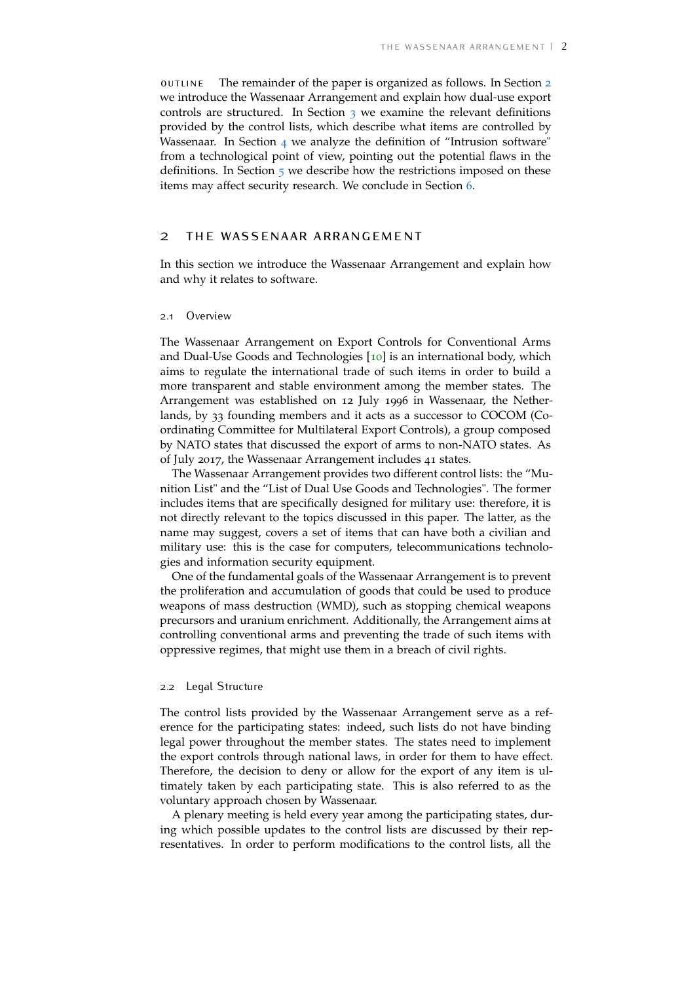outline The remainder of the paper is organized as follows. In Section [2](#page-2-0) we introduce the Wassenaar Arrangement and explain how dual-use export controls are structured. In Section  $\frac{1}{3}$  $\frac{1}{3}$  $\frac{1}{3}$  we examine the relevant definitions provided by the control lists, which describe what items are controlled by Wassenaar. In Section  $4$  we analyze the definition of "Intrusion software" from a technological point of view, pointing out the potential flaws in the definitions. In Section  $\frac{1}{2}$  we describe how the restrictions imposed on these items may affect security research. We conclude in Section [6](#page-10-1).

# <span id="page-2-0"></span>2 the wassenaar arrangement

In this section we introduce the Wassenaar Arrangement and explain how and why it relates to software.

#### <span id="page-2-1"></span>2.1 Overview

The Wassenaar Arrangement on Export Controls for Conventional Arms and Dual-Use Goods and Technologies [[10](#page-12-7)] is an international body, which aims to regulate the international trade of such items in order to build a more transparent and stable environment among the member states. The Arrangement was established on 12 July 1996 in Wassenaar, the Netherlands, by 33 founding members and it acts as a successor to COCOM (Coordinating Committee for Multilateral Export Controls), a group composed by NATO states that discussed the export of arms to non-NATO states. As of July 2017, the Wassenaar Arrangement includes 41 states.

The Wassenaar Arrangement provides two different control lists: the "Munition List" and the "List of Dual Use Goods and Technologies". The former includes items that are specifically designed for military use: therefore, it is not directly relevant to the topics discussed in this paper. The latter, as the name may suggest, covers a set of items that can have both a civilian and military use: this is the case for computers, telecommunications technologies and information security equipment.

One of the fundamental goals of the Wassenaar Arrangement is to prevent the proliferation and accumulation of goods that could be used to produce weapons of mass destruction (WMD), such as stopping chemical weapons precursors and uranium enrichment. Additionally, the Arrangement aims at controlling conventional arms and preventing the trade of such items with oppressive regimes, that might use them in a breach of civil rights.

#### <span id="page-2-2"></span>2.2 Legal Structure

The control lists provided by the Wassenaar Arrangement serve as a reference for the participating states: indeed, such lists do not have binding legal power throughout the member states. The states need to implement the export controls through national laws, in order for them to have effect. Therefore, the decision to deny or allow for the export of any item is ultimately taken by each participating state. This is also referred to as the voluntary approach chosen by Wassenaar.

A plenary meeting is held every year among the participating states, during which possible updates to the control lists are discussed by their representatives. In order to perform modifications to the control lists, all the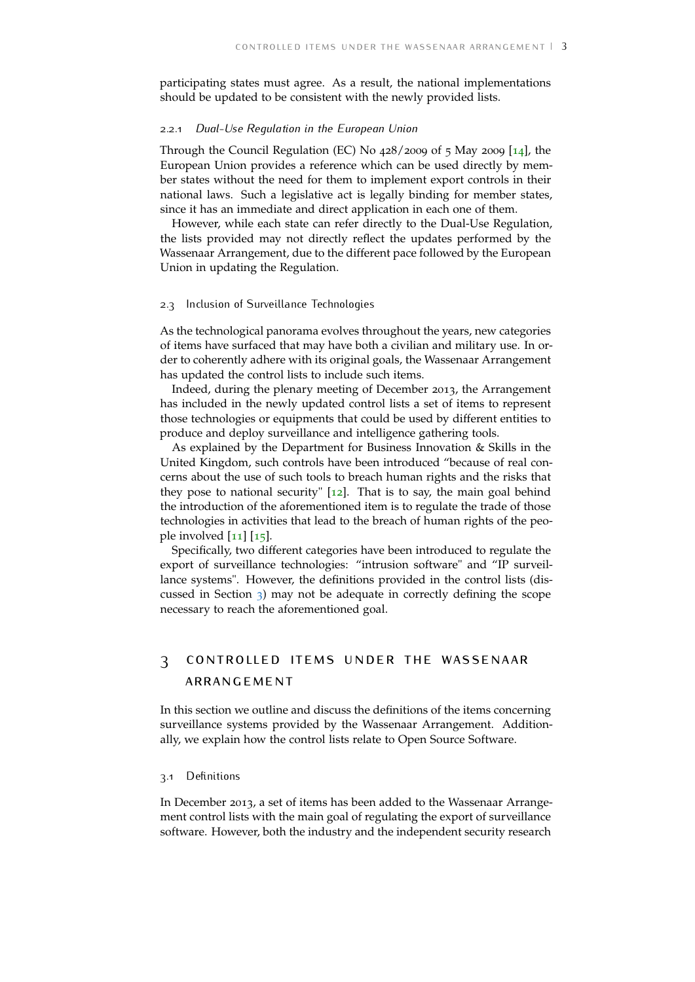participating states must agree. As a result, the national implementations should be updated to be consistent with the newly provided lists.

#### 2.2.1 *Dual-Use Regulation in the European Union*

Through the Council Regulation (EC) No 428/2009 of 5 May 2009 [[14](#page-12-8)], the European Union provides a reference which can be used directly by member states without the need for them to implement export controls in their national laws. Such a legislative act is legally binding for member states, since it has an immediate and direct application in each one of them.

However, while each state can refer directly to the Dual-Use Regulation, the lists provided may not directly reflect the updates performed by the Wassenaar Arrangement, due to the different pace followed by the European Union in updating the Regulation.

#### <span id="page-3-0"></span>2.3 Inclusion of Surveillance Technologies

As the technological panorama evolves throughout the years, new categories of items have surfaced that may have both a civilian and military use. In order to coherently adhere with its original goals, the Wassenaar Arrangement has updated the control lists to include such items.

Indeed, during the plenary meeting of December 2013, the Arrangement has included in the newly updated control lists a set of items to represent those technologies or equipments that could be used by different entities to produce and deploy surveillance and intelligence gathering tools.

As explained by the Department for Business Innovation & Skills in the United Kingdom, such controls have been introduced "because of real concerns about the use of such tools to breach human rights and the risks that they pose to national security"  $[12]$  $[12]$  $[12]$ . That is to say, the main goal behind the introduction of the aforementioned item is to regulate the trade of those technologies in activities that lead to the breach of human rights of the people involved  $\left[11\right]$  $\left[11\right]$  $\left[11\right]$   $\left[15\right]$  $\left[15\right]$  $\left[15\right]$ .

Specifically, two different categories have been introduced to regulate the export of surveillance technologies: "intrusion software" and "IP surveillance systems". However, the definitions provided in the control lists (discussed in Section [3](#page-3-1)) may not be adequate in correctly defining the scope necessary to reach the aforementioned goal.

# <span id="page-3-1"></span>3 controlled items under the wassenaar arrangement

In this section we outline and discuss the definitions of the items concerning surveillance systems provided by the Wassenaar Arrangement. Additionally, we explain how the control lists relate to Open Source Software.

#### <span id="page-3-2"></span>3.1 Definitions

In December 2013, a set of items has been added to the Wassenaar Arrangement control lists with the main goal of regulating the export of surveillance software. However, both the industry and the independent security research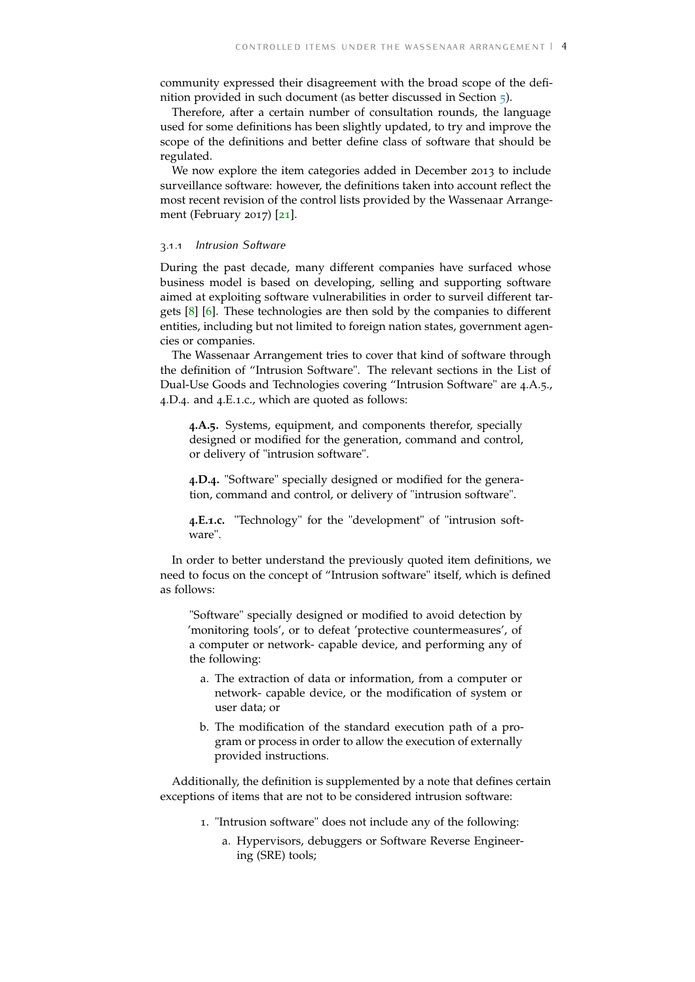community expressed their disagreement with the broad scope of the definition provided in such document (as better discussed in Section [5](#page-9-0)).

Therefore, after a certain number of consultation rounds, the language used for some definitions has been slightly updated, to try and improve the scope of the definitions and better define class of software that should be regulated.

We now explore the item categories added in December 2013 to include surveillance software: however, the definitions taken into account reflect the most recent revision of the control lists provided by the Wassenaar Arrangement (February 2017) [[21](#page-13-0)].

## 3.1.1 *Intrusion Software*

During the past decade, many different companies have surfaced whose business model is based on developing, selling and supporting software aimed at exploiting software vulnerabilities in order to surveil different targets [[8](#page-12-4)] [[6](#page-12-1)]. These technologies are then sold by the companies to different entities, including but not limited to foreign nation states, government agencies or companies.

The Wassenaar Arrangement tries to cover that kind of software through the definition of "Intrusion Software". The relevant sections in the List of Dual-Use Goods and Technologies covering "Intrusion Software" are 4.A.5., 4.D.4. and 4.E.1.c., which are quoted as follows:

**4.A.5.** Systems, equipment, and components therefor, specially designed or modified for the generation, command and control, or delivery of "intrusion software".

**4.D.4.** "Software" specially designed or modified for the generation, command and control, or delivery of "intrusion software".

**4.E.1.c.** "Technology" for the "development" of "intrusion software".

In order to better understand the previously quoted item definitions, we need to focus on the concept of "Intrusion software" itself, which is defined as follows:

"Software" specially designed or modified to avoid detection by 'monitoring tools', or to defeat 'protective countermeasures', of a computer or network- capable device, and performing any of the following:

- a. The extraction of data or information, from a computer or network- capable device, or the modification of system or user data; or
- b. The modification of the standard execution path of a program or process in order to allow the execution of externally provided instructions.

Additionally, the definition is supplemented by a note that defines certain exceptions of items that are not to be considered intrusion software:

- 1. "Intrusion software" does not include any of the following:
	- a. Hypervisors, debuggers or Software Reverse Engineering (SRE) tools;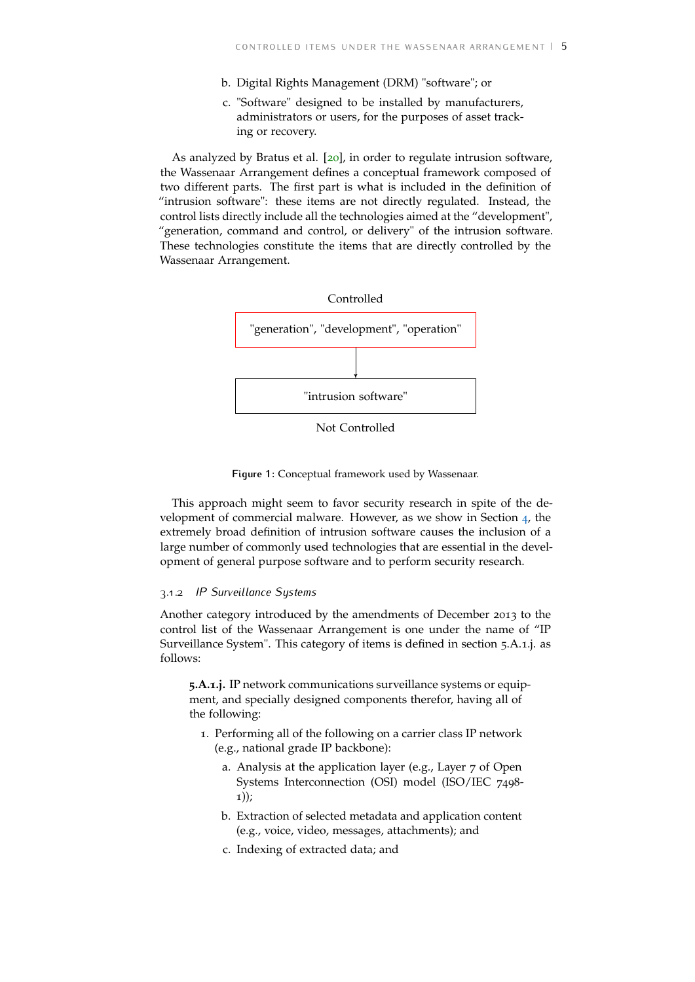- b. Digital Rights Management (DRM) "software"; or
- c. "Software" designed to be installed by manufacturers, administrators or users, for the purposes of asset tracking or recovery.

As analyzed by Bratus et al. [[20](#page-12-10)], in order to regulate intrusion software, the Wassenaar Arrangement defines a conceptual framework composed of two different parts. The first part is what is included in the definition of "intrusion software": these items are not directly regulated. Instead, the control lists directly include all the technologies aimed at the "development", "generation, command and control, or delivery" of the intrusion software. These technologies constitute the items that are directly controlled by the Wassenaar Arrangement.



Not Controlled

**Figure 1:** Conceptual framework used by Wassenaar.

This approach might seem to favor security research in spite of the development of commercial malware. However, as we show in Section [4](#page-7-0), the extremely broad definition of intrusion software causes the inclusion of a large number of commonly used technologies that are essential in the development of general purpose software and to perform security research.

### 3.1.2 *IP Surveillance Systems*

Another category introduced by the amendments of December 2013 to the control list of the Wassenaar Arrangement is one under the name of "IP Surveillance System". This category of items is defined in section 5.A.1.j. as follows:

**5.A.1.j.** IP network communications surveillance systems or equipment, and specially designed components therefor, having all of the following:

- 1. Performing all of the following on a carrier class IP network (e.g., national grade IP backbone):
	- a. Analysis at the application layer (e.g., Layer 7 of Open Systems Interconnection (OSI) model (ISO/IEC 7498- 1));
	- b. Extraction of selected metadata and application content (e.g., voice, video, messages, attachments); and
	- c. Indexing of extracted data; and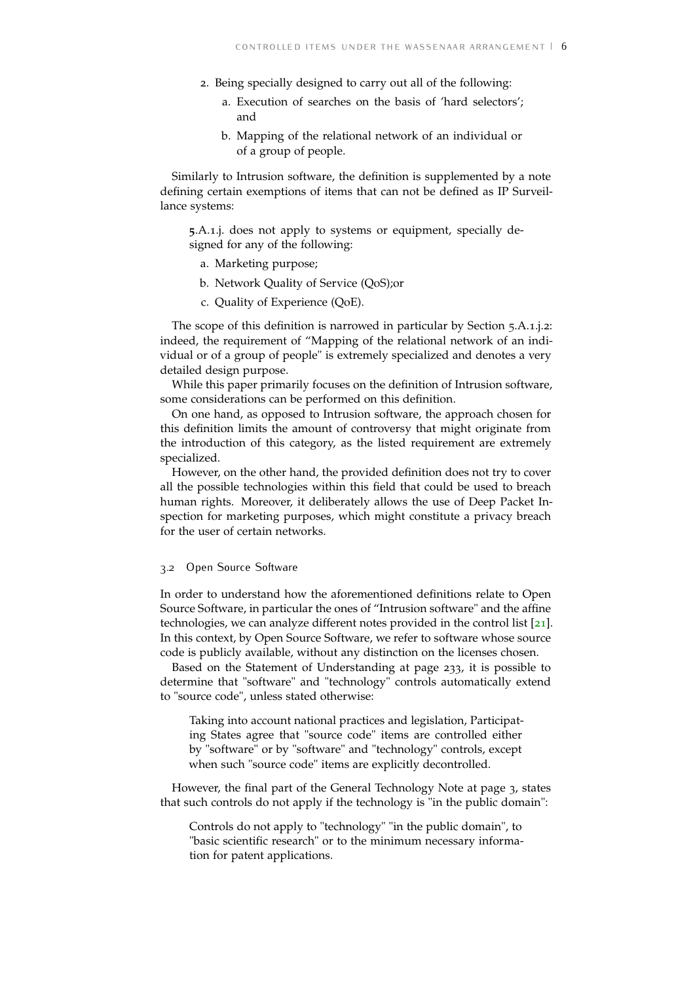- 2. Being specially designed to carry out all of the following:
	- a. Execution of searches on the basis of 'hard selectors'; and
	- b. Mapping of the relational network of an individual or of a group of people.

Similarly to Intrusion software, the definition is supplemented by a note defining certain exemptions of items that can not be defined as IP Surveillance systems:

**5**.A.1.j. does not apply to systems or equipment, specially designed for any of the following:

- a. Marketing purpose;
- b. Network Quality of Service (QoS);or
- c. Quality of Experience (QoE).

The scope of this definition is narrowed in particular by Section 5.A.1.j.2: indeed, the requirement of "Mapping of the relational network of an individual or of a group of people" is extremely specialized and denotes a very detailed design purpose.

While this paper primarily focuses on the definition of Intrusion software, some considerations can be performed on this definition.

On one hand, as opposed to Intrusion software, the approach chosen for this definition limits the amount of controversy that might originate from the introduction of this category, as the listed requirement are extremely specialized.

However, on the other hand, the provided definition does not try to cover all the possible technologies within this field that could be used to breach human rights. Moreover, it deliberately allows the use of Deep Packet Inspection for marketing purposes, which might constitute a privacy breach for the user of certain networks.

### <span id="page-6-0"></span>3.2 Open Source Software

In order to understand how the aforementioned definitions relate to Open Source Software, in particular the ones of "Intrusion software" and the affine technologies, we can analyze different notes provided in the control list [[21](#page-13-0)]. In this context, by Open Source Software, we refer to software whose source code is publicly available, without any distinction on the licenses chosen.

Based on the Statement of Understanding at page 233, it is possible to determine that "software" and "technology" controls automatically extend to "source code", unless stated otherwise:

Taking into account national practices and legislation, Participating States agree that "source code" items are controlled either by "software" or by "software" and "technology" controls, except when such "source code" items are explicitly decontrolled.

However, the final part of the General Technology Note at page 3, states that such controls do not apply if the technology is "in the public domain":

Controls do not apply to "technology" "in the public domain", to "basic scientific research" or to the minimum necessary information for patent applications.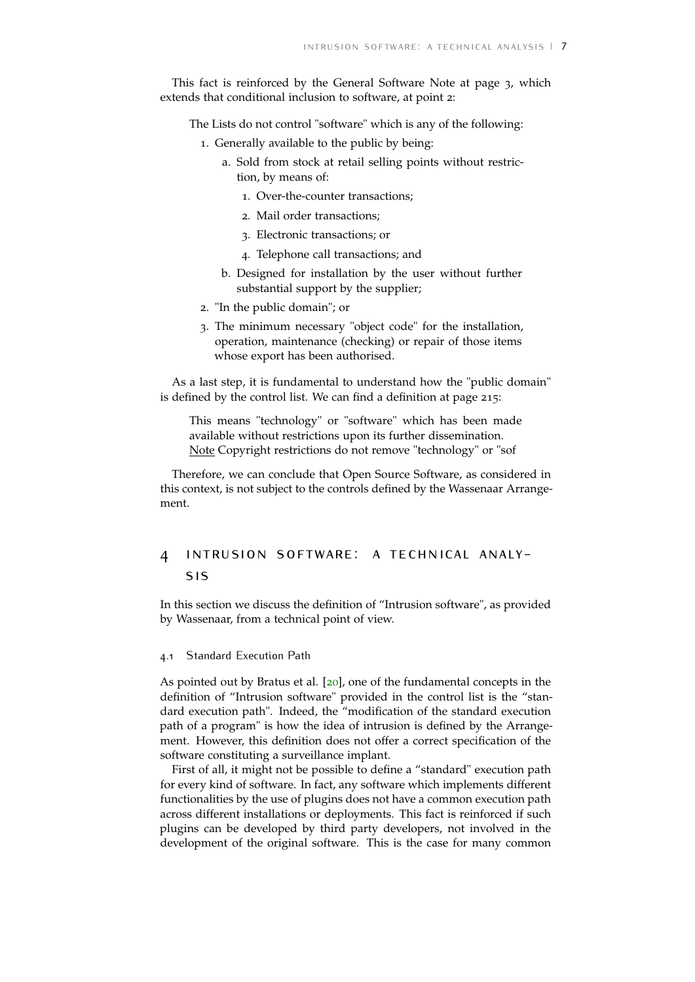This fact is reinforced by the General Software Note at page 3, which extends that conditional inclusion to software, at point 2:

The Lists do not control "software" which is any of the following:

- 1. Generally available to the public by being:
	- a. Sold from stock at retail selling points without restriction, by means of:
		- 1. Over-the-counter transactions;
		- 2. Mail order transactions;
		- 3. Electronic transactions; or
		- 4. Telephone call transactions; and
	- b. Designed for installation by the user without further substantial support by the supplier;
- 2. "In the public domain"; or
- 3. The minimum necessary "object code" for the installation, operation, maintenance (checking) or repair of those items whose export has been authorised.

As a last step, it is fundamental to understand how the "public domain" is defined by the control list. We can find a definition at page 215:

This means "technology" or "software" which has been made available without restrictions upon its further dissemination. Note Copyright restrictions do not remove "technology" or "sof

<span id="page-7-0"></span>Therefore, we can conclude that Open Source Software, as considered in this context, is not subject to the controls defined by the Wassenaar Arrangement.

# 4 intrusion software: a technical analysis

In this section we discuss the definition of "Intrusion software", as provided by Wassenaar, from a technical point of view.

## <span id="page-7-1"></span>4.1 Standard Execution Path

As pointed out by Bratus et al. [[20](#page-12-10)], one of the fundamental concepts in the definition of "Intrusion software" provided in the control list is the "standard execution path". Indeed, the "modification of the standard execution path of a program" is how the idea of intrusion is defined by the Arrangement. However, this definition does not offer a correct specification of the software constituting a surveillance implant.

First of all, it might not be possible to define a "standard" execution path for every kind of software. In fact, any software which implements different functionalities by the use of plugins does not have a common execution path across different installations or deployments. This fact is reinforced if such plugins can be developed by third party developers, not involved in the development of the original software. This is the case for many common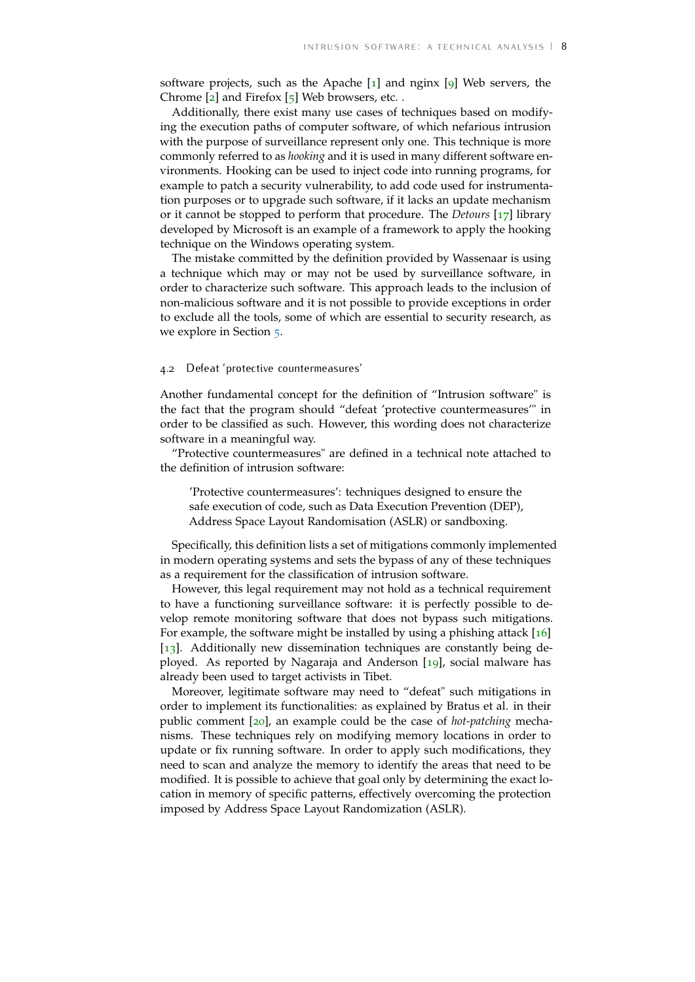software projects, such as the Apache [[1](#page-12-11)] and nginx [[9](#page-12-12)] Web servers, the Chrome  $[2]$  $[2]$  $[2]$  and Firefox  $[5]$  $[5]$  $[5]$  Web browsers, etc.

Additionally, there exist many use cases of techniques based on modifying the execution paths of computer software, of which nefarious intrusion with the purpose of surveillance represent only one. This technique is more commonly referred to as *hooking* and it is used in many different software environments. Hooking can be used to inject code into running programs, for example to patch a security vulnerability, to add code used for instrumentation purposes or to upgrade such software, if it lacks an update mechanism or it cannot be stopped to perform that procedure. The *Detours* [[17](#page-12-15)] library developed by Microsoft is an example of a framework to apply the hooking technique on the Windows operating system.

The mistake committed by the definition provided by Wassenaar is using a technique which may or may not be used by surveillance software, in order to characterize such software. This approach leads to the inclusion of non-malicious software and it is not possible to provide exceptions in order to exclude all the tools, some of which are essential to security research, as we explore in Section [5](#page-9-0).

#### <span id="page-8-0"></span>4.2 Defeat 'protective countermeasures'

Another fundamental concept for the definition of "Intrusion software" is the fact that the program should "defeat 'protective countermeasures'" in order to be classified as such. However, this wording does not characterize software in a meaningful way.

"Protective countermeasures" are defined in a technical note attached to the definition of intrusion software:

'Protective countermeasures': techniques designed to ensure the safe execution of code, such as Data Execution Prevention (DEP), Address Space Layout Randomisation (ASLR) or sandboxing.

Specifically, this definition lists a set of mitigations commonly implemented in modern operating systems and sets the bypass of any of these techniques as a requirement for the classification of intrusion software.

However, this legal requirement may not hold as a technical requirement to have a functioning surveillance software: it is perfectly possible to develop remote monitoring software that does not bypass such mitigations. For example, the software might be installed by using a phishing attack  $[16]$  $[16]$  $[16]$ [[13](#page-12-6)]. Additionally new dissemination techniques are constantly being deployed. As reported by Nagaraja and Anderson [[19](#page-12-17)], social malware has already been used to target activists in Tibet.

<span id="page-8-1"></span>Moreover, legitimate software may need to "defeat" such mitigations in order to implement its functionalities: as explained by Bratus et al. in their public comment [[20](#page-12-10)], an example could be the case of *hot-patching* mechanisms. These techniques rely on modifying memory locations in order to update or fix running software. In order to apply such modifications, they need to scan and analyze the memory to identify the areas that need to be modified. It is possible to achieve that goal only by determining the exact location in memory of specific patterns, effectively overcoming the protection imposed by Address Space Layout Randomization (ASLR).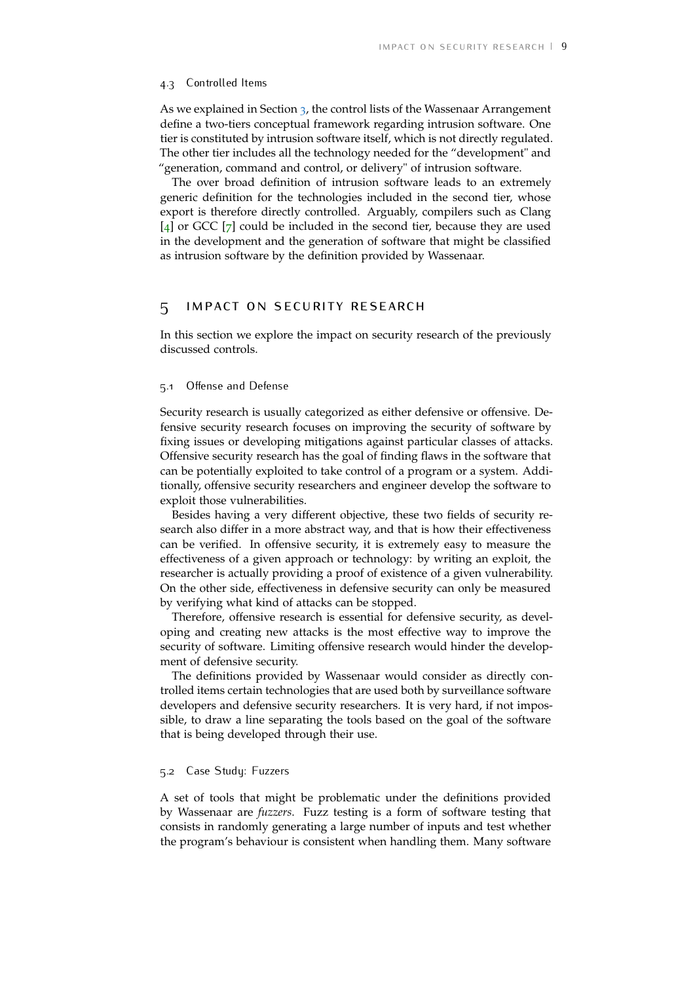#### 4.3 Controlled Items

As we explained in Section [3](#page-3-1), the control lists of the Wassenaar Arrangement define a two-tiers conceptual framework regarding intrusion software. One tier is constituted by intrusion software itself, which is not directly regulated. The other tier includes all the technology needed for the "development" and "generation, command and control, or delivery" of intrusion software.

The over broad definition of intrusion software leads to an extremely generic definition for the technologies included in the second tier, whose export is therefore directly controlled. Arguably, compilers such as Clang [[4](#page-12-18)] or GCC [[7](#page-12-19)] could be included in the second tier, because they are used in the development and the generation of software that might be classified as intrusion software by the definition provided by Wassenaar.

## <span id="page-9-0"></span>5 impact on security research

<span id="page-9-1"></span>In this section we explore the impact on security research of the previously discussed controls.

#### 5.1 Offense and Defense

Security research is usually categorized as either defensive or offensive. Defensive security research focuses on improving the security of software by fixing issues or developing mitigations against particular classes of attacks. Offensive security research has the goal of finding flaws in the software that can be potentially exploited to take control of a program or a system. Additionally, offensive security researchers and engineer develop the software to exploit those vulnerabilities.

Besides having a very different objective, these two fields of security research also differ in a more abstract way, and that is how their effectiveness can be verified. In offensive security, it is extremely easy to measure the effectiveness of a given approach or technology: by writing an exploit, the researcher is actually providing a proof of existence of a given vulnerability. On the other side, effectiveness in defensive security can only be measured by verifying what kind of attacks can be stopped.

Therefore, offensive research is essential for defensive security, as developing and creating new attacks is the most effective way to improve the security of software. Limiting offensive research would hinder the development of defensive security.

The definitions provided by Wassenaar would consider as directly controlled items certain technologies that are used both by surveillance software developers and defensive security researchers. It is very hard, if not impossible, to draw a line separating the tools based on the goal of the software that is being developed through their use.

### <span id="page-9-2"></span>5.2 Case Study: Fuzzers

A set of tools that might be problematic under the definitions provided by Wassenaar are *fuzzers*. Fuzz testing is a form of software testing that consists in randomly generating a large number of inputs and test whether the program's behaviour is consistent when handling them. Many software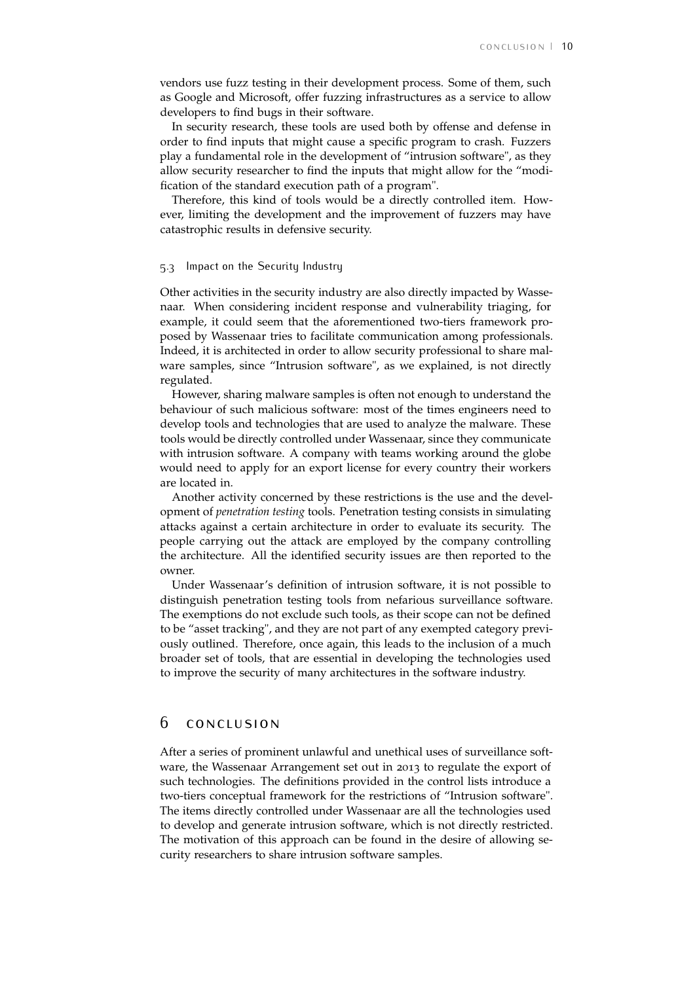vendors use fuzz testing in their development process. Some of them, such as Google and Microsoft, offer fuzzing infrastructures as a service to allow developers to find bugs in their software.

In security research, these tools are used both by offense and defense in order to find inputs that might cause a specific program to crash. Fuzzers play a fundamental role in the development of "intrusion software", as they allow security researcher to find the inputs that might allow for the "modification of the standard execution path of a program".

Therefore, this kind of tools would be a directly controlled item. However, limiting the development and the improvement of fuzzers may have catastrophic results in defensive security.

#### <span id="page-10-0"></span>5.3 Impact on the Security Industry

Other activities in the security industry are also directly impacted by Wassenaar. When considering incident response and vulnerability triaging, for example, it could seem that the aforementioned two-tiers framework proposed by Wassenaar tries to facilitate communication among professionals. Indeed, it is architected in order to allow security professional to share malware samples, since "Intrusion software", as we explained, is not directly regulated.

However, sharing malware samples is often not enough to understand the behaviour of such malicious software: most of the times engineers need to develop tools and technologies that are used to analyze the malware. These tools would be directly controlled under Wassenaar, since they communicate with intrusion software. A company with teams working around the globe would need to apply for an export license for every country their workers are located in.

Another activity concerned by these restrictions is the use and the development of *penetration testing* tools. Penetration testing consists in simulating attacks against a certain architecture in order to evaluate its security. The people carrying out the attack are employed by the company controlling the architecture. All the identified security issues are then reported to the owner.

Under Wassenaar's definition of intrusion software, it is not possible to distinguish penetration testing tools from nefarious surveillance software. The exemptions do not exclude such tools, as their scope can not be defined to be "asset tracking", and they are not part of any exempted category previously outlined. Therefore, once again, this leads to the inclusion of a much broader set of tools, that are essential in developing the technologies used to improve the security of many architectures in the software industry.

# <span id="page-10-1"></span>6 conclusion

After a series of prominent unlawful and unethical uses of surveillance software, the Wassenaar Arrangement set out in 2013 to regulate the export of such technologies. The definitions provided in the control lists introduce a two-tiers conceptual framework for the restrictions of "Intrusion software". The items directly controlled under Wassenaar are all the technologies used to develop and generate intrusion software, which is not directly restricted. The motivation of this approach can be found in the desire of allowing security researchers to share intrusion software samples.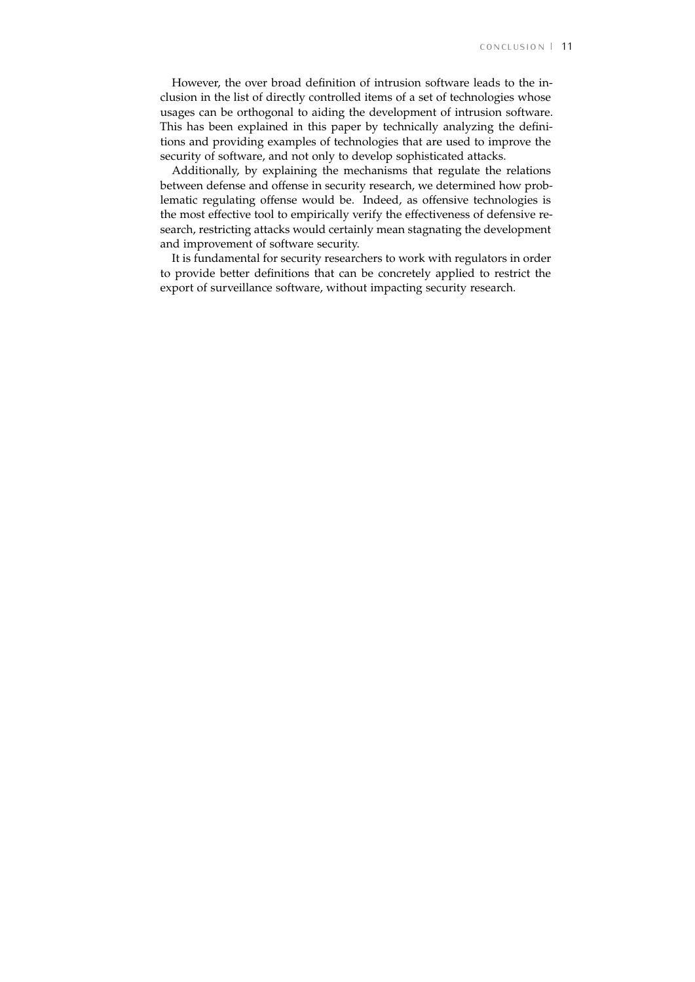However, the over broad definition of intrusion software leads to the inclusion in the list of directly controlled items of a set of technologies whose usages can be orthogonal to aiding the development of intrusion software. This has been explained in this paper by technically analyzing the definitions and providing examples of technologies that are used to improve the security of software, and not only to develop sophisticated attacks.

Additionally, by explaining the mechanisms that regulate the relations between defense and offense in security research, we determined how problematic regulating offense would be. Indeed, as offensive technologies is the most effective tool to empirically verify the effectiveness of defensive research, restricting attacks would certainly mean stagnating the development and improvement of software security.

It is fundamental for security researchers to work with regulators in order to provide better definitions that can be concretely applied to restrict the export of surveillance software, without impacting security research.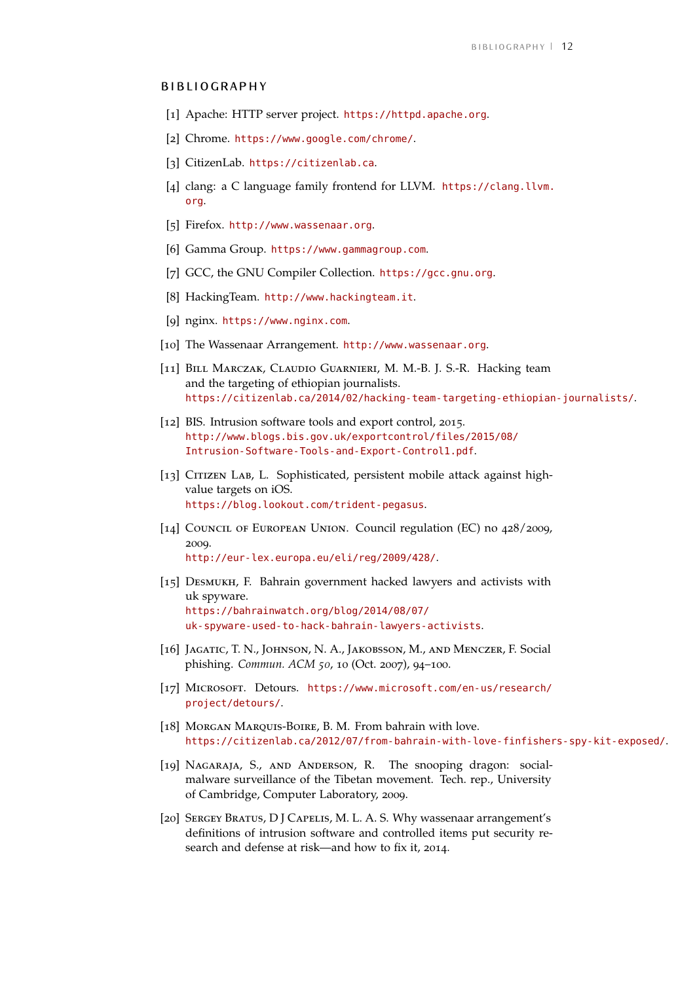## **BIBLIOGRAPHY**

- <span id="page-12-11"></span>[1] Apache: HTTP server project. <https://httpd.apache.org>.
- <span id="page-12-13"></span>[2] Chrome. <https://www.google.com/chrome/>.
- <span id="page-12-0"></span>[3] CitizenLab. <https://citizenlab.ca>.
- <span id="page-12-18"></span>[4] clang: a C language family frontend for LLVM. [https://clang.llvm.](https://clang.llvm.org) [org](https://clang.llvm.org).
- <span id="page-12-14"></span>[5] Firefox. <http://www.wassenaar.org>.
- <span id="page-12-1"></span>[6] Gamma Group. <https://www.gammagroup.com>.
- <span id="page-12-19"></span>[7] GCC, the GNU Compiler Collection. <https://gcc.gnu.org>.
- <span id="page-12-4"></span>[8] HackingTeam. <http://www.hackingteam.it>.
- <span id="page-12-12"></span>[9] nginx. <https://www.nginx.com>.
- <span id="page-12-7"></span>[10] The Wassenaar Arrangement. <http://www.wassenaar.org>.
- <span id="page-12-5"></span>[11] BILL MARCZAK, CLAUDIO GUARNIERI, M. M.-B. J. S.-R. Hacking team and the targeting of ethiopian journalists. <https://citizenlab.ca/2014/02/hacking-team-targeting-ethiopian-journalists/>.
- <span id="page-12-9"></span>[12] BIS. Intrusion software tools and export control, 2015. [http://www.blogs.bis.gov.uk/exportcontrol/files/2015/08/](http://www.blogs.bis.gov.uk/exportcontrol/files/2015/08/Intrusion-Software-Tools-and-Export-Control1.pdf) [Intrusion-Software-Tools-and-Export-Control1.pdf](http://www.blogs.bis.gov.uk/exportcontrol/files/2015/08/Intrusion-Software-Tools-and-Export-Control1.pdf).
- <span id="page-12-6"></span>[13] CITIZEN LAB, L. Sophisticated, persistent mobile attack against highvalue targets on iOS. <https://blog.lookout.com/trident-pegasus>.
- <span id="page-12-8"></span>[14] Council of European Union. Council regulation (EC) no 428/2009, 2009. <http://eur-lex.europa.eu/eli/reg/2009/428/>.
- <span id="page-12-3"></span>[15] DESMUKH, F. Bahrain government hacked lawyers and activists with uk spyware. [https://bahrainwatch.org/blog/2014/08/07/](https://bahrainwatch.org/blog/2014/08/07/uk-spyware-used-to-hack-bahrain-lawyers-activists) [uk-spyware-used-to-hack-bahrain-lawyers-activists](https://bahrainwatch.org/blog/2014/08/07/uk-spyware-used-to-hack-bahrain-lawyers-activists).
- <span id="page-12-16"></span>[16] JAGATIC, T. N., JOHNSON, N. A., JAKOBSSON, M., AND MENCZER, F. Social phishing. *Commun. ACM 50*, 10 (Oct. 2007), 94–100.
- <span id="page-12-15"></span>[17] Microsoft. Detours. [https://www.microsoft.com/en-us/research/](https://www.microsoft.com/en-us/research/project/detours/) [project/detours/](https://www.microsoft.com/en-us/research/project/detours/).
- <span id="page-12-2"></span>[18] MORGAN MARQUIS-BOIRE, B. M. From bahrain with love. <https://citizenlab.ca/2012/07/from-bahrain-with-love-finfishers-spy-kit-exposed/>.
- <span id="page-12-17"></span>[19] NAGARAJA, S., AND ANDERSON, R. The snooping dragon: socialmalware surveillance of the Tibetan movement. Tech. rep., University of Cambridge, Computer Laboratory, 2009.
- <span id="page-12-10"></span>[20] SERGEY BRATUS, D J CAPELIS, M. L. A. S. Why wassenaar arrangement's definitions of intrusion software and controlled items put security research and defense at risk—and how to fix it, 2014.